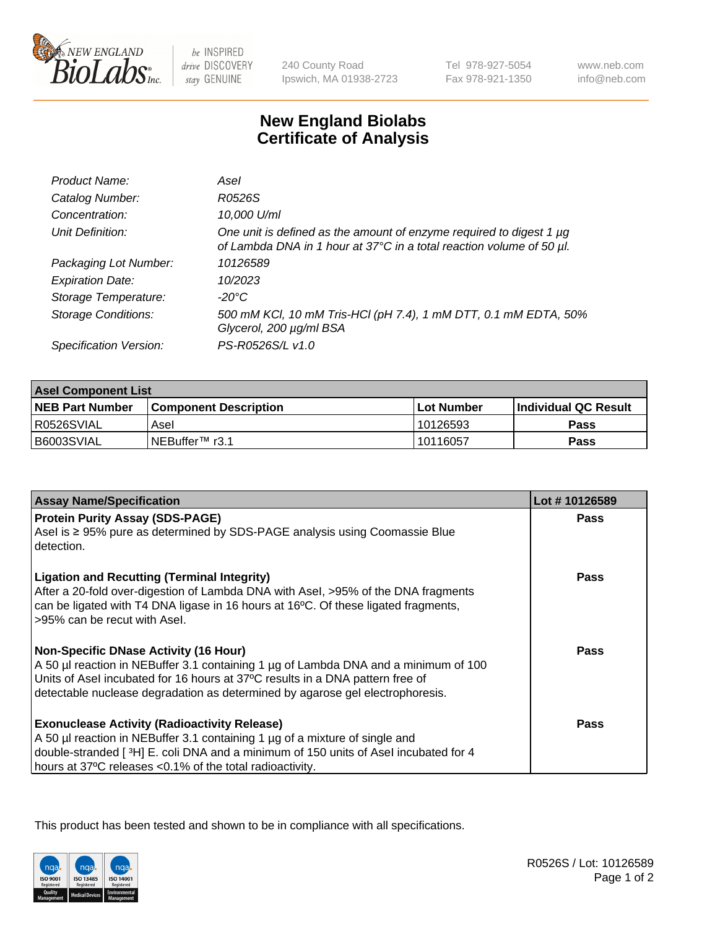

 $be$  INSPIRED drive DISCOVERY stay GENUINE

240 County Road Ipswich, MA 01938-2723 Tel 978-927-5054 Fax 978-921-1350

www.neb.com info@neb.com

## **New England Biolabs Certificate of Analysis**

| Product Name:              | Asel                                                                                                                                        |
|----------------------------|---------------------------------------------------------------------------------------------------------------------------------------------|
| Catalog Number:            | R0526S                                                                                                                                      |
| Concentration:             | 10,000 U/ml                                                                                                                                 |
| Unit Definition:           | One unit is defined as the amount of enzyme required to digest 1 µg<br>of Lambda DNA in 1 hour at 37°C in a total reaction volume of 50 µl. |
| Packaging Lot Number:      | 10126589                                                                                                                                    |
| <b>Expiration Date:</b>    | 10/2023                                                                                                                                     |
| Storage Temperature:       | $-20^{\circ}$ C                                                                                                                             |
| <b>Storage Conditions:</b> | 500 mM KCI, 10 mM Tris-HCI (pH 7.4), 1 mM DTT, 0.1 mM EDTA, 50%<br>Glycerol, 200 µg/ml BSA                                                  |
| Specification Version:     | PS-R0526S/L v1.0                                                                                                                            |

| <b>Asel Component List</b> |                         |             |                             |  |
|----------------------------|-------------------------|-------------|-----------------------------|--|
| <b>NEB Part Number</b>     | l Component Description | ⊺Lot Number | <b>Individual QC Result</b> |  |
| I R0526SVIAL               | Asel                    | 10126593    | Pass                        |  |
| l B6003SVIAL               | INEBuffer™ r3.1         | 10116057    | Pass                        |  |

| <b>Assay Name/Specification</b>                                                                                                                                         | Lot #10126589 |
|-------------------------------------------------------------------------------------------------------------------------------------------------------------------------|---------------|
| <b>Protein Purity Assay (SDS-PAGE)</b><br>Asel is ≥ 95% pure as determined by SDS-PAGE analysis using Coomassie Blue                                                    | <b>Pass</b>   |
| detection.                                                                                                                                                              |               |
| <b>Ligation and Recutting (Terminal Integrity)</b>                                                                                                                      | Pass          |
| After a 20-fold over-digestion of Lambda DNA with Asel, >95% of the DNA fragments<br>can be ligated with T4 DNA ligase in 16 hours at 16°C. Of these ligated fragments, |               |
| >95% can be recut with Asel.                                                                                                                                            |               |
| <b>Non-Specific DNase Activity (16 Hour)</b>                                                                                                                            | Pass          |
| A 50 µl reaction in NEBuffer 3.1 containing 1 µg of Lambda DNA and a minimum of 100                                                                                     |               |
| Units of Asel incubated for 16 hours at 37°C results in a DNA pattern free of<br>detectable nuclease degradation as determined by agarose gel electrophoresis.          |               |
|                                                                                                                                                                         |               |
| <b>Exonuclease Activity (Radioactivity Release)</b>                                                                                                                     | Pass          |
| A 50 µl reaction in NEBuffer 3.1 containing 1 µg of a mixture of single and                                                                                             |               |
| double-stranded [ $3H$ ] E. coli DNA and a minimum of 150 units of Asel incubated for 4                                                                                 |               |
| hours at 37°C releases <0.1% of the total radioactivity.                                                                                                                |               |

This product has been tested and shown to be in compliance with all specifications.